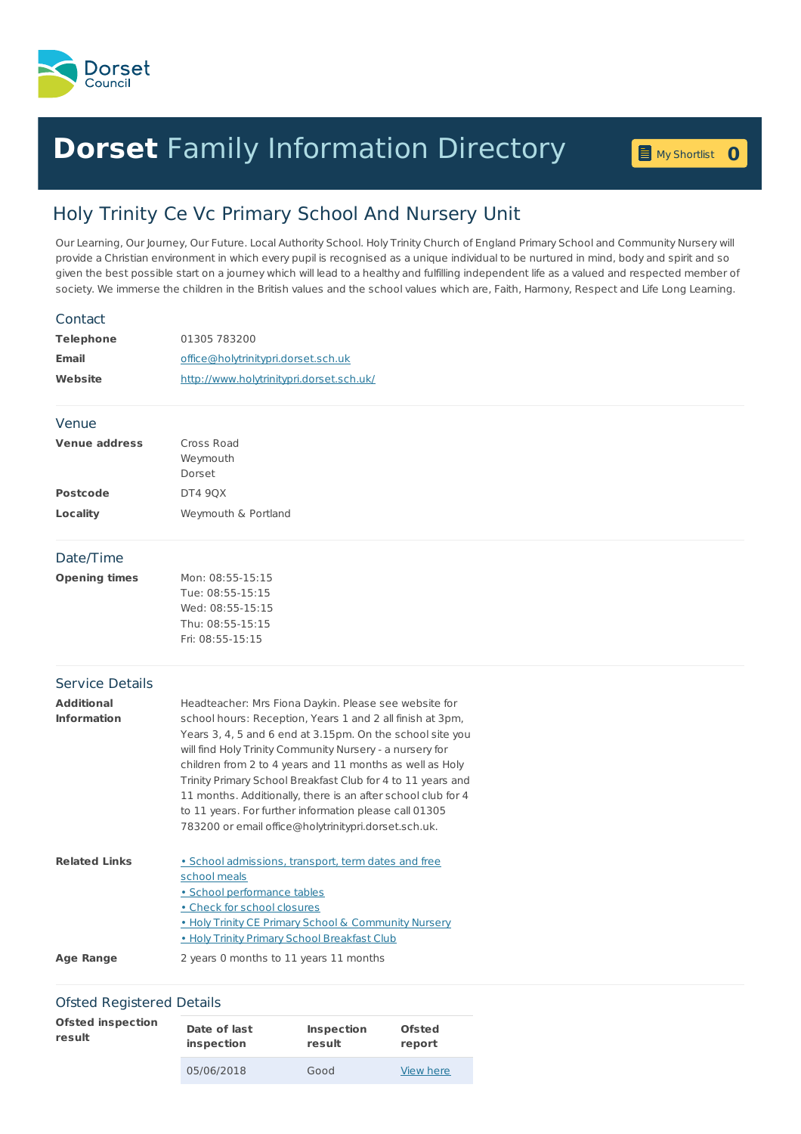

## **Dorset** Family [Information](home.page) Directory **0**

My [Shortlist](shortlist.page)

## Holy Trinity Ce Vc Primary School And Nursery Unit

Our Learning, Our Journey, Our Future. Local Authority School. Holy Trinity Church of England Primary School and Community Nursery will provide a Christian environment in which every pupil is recognised as a unique individual to be nurtured in mind, body and spirit and so given the best possible start on a journey which will lead to a healthy and fulfilling independent life as a valued and respected member of society. We immerse the children in the British values and the school values which are, Faith, Harmony, Respect and Life Long Learning.

| Contact                |                                                                                                                      |
|------------------------|----------------------------------------------------------------------------------------------------------------------|
| <b>Telephone</b>       | 01305 783200                                                                                                         |
| <b>Email</b>           | office@holytrinitypri.dorset.sch.uk                                                                                  |
| Website                | http://www.holytrinitypri.dorset.sch.uk/                                                                             |
| Venue                  |                                                                                                                      |
| <b>Venue address</b>   | Cross Road                                                                                                           |
|                        | Weymouth                                                                                                             |
| <b>Postcode</b>        | Dorset                                                                                                               |
|                        | <b>DT4 90X</b>                                                                                                       |
| Locality               | Weymouth & Portland                                                                                                  |
| Date/Time              |                                                                                                                      |
| <b>Opening times</b>   | Mon: 08:55-15:15                                                                                                     |
|                        | Tue: 08:55-15:15                                                                                                     |
|                        | Wed: 08:55-15:15<br>Thu: 08:55-15:15                                                                                 |
|                        | Fri: 08:55-15:15                                                                                                     |
| <b>Service Details</b> |                                                                                                                      |
| <b>Additional</b>      | Headteacher: Mrs Fiona Daykin. Please see website for                                                                |
| <b>Information</b>     | school hours: Reception, Years 1 and 2 all finish at 3pm,                                                            |
|                        | Years 3, 4, 5 and 6 end at 3.15pm. On the school site you                                                            |
|                        | will find Holy Trinity Community Nursery - a nursery for<br>children from 2 to 4 years and 11 months as well as Holy |
|                        | Trinity Primary School Breakfast Club for 4 to 11 years and                                                          |
|                        | 11 months. Additionally, there is an after school club for 4                                                         |
|                        | to 11 years. For further information please call 01305                                                               |
|                        | 783200 or email office@holytrinitypri.dorset.sch.uk.                                                                 |
| <b>Related Links</b>   | • School admissions, transport, term dates and free                                                                  |
|                        | school meals                                                                                                         |
|                        | · School performance tables                                                                                          |
|                        | . Check for school closures<br>• Holy Trinity CE Primary School & Community Nursery                                  |
|                        | . Holy Trinity Primary School Breakfast Club                                                                         |
| <b>Age Range</b>       | 2 years 0 months to 11 years 11 months                                                                               |
|                        |                                                                                                                      |

## Ofsted Registered Details

| <b>Ofsted inspection</b> | Date of last | Inspection | <b>Ofsted</b> |
|--------------------------|--------------|------------|---------------|
| result                   | inspection   | result     | report        |
|                          | 05/06/2018   | Good       | View here     |